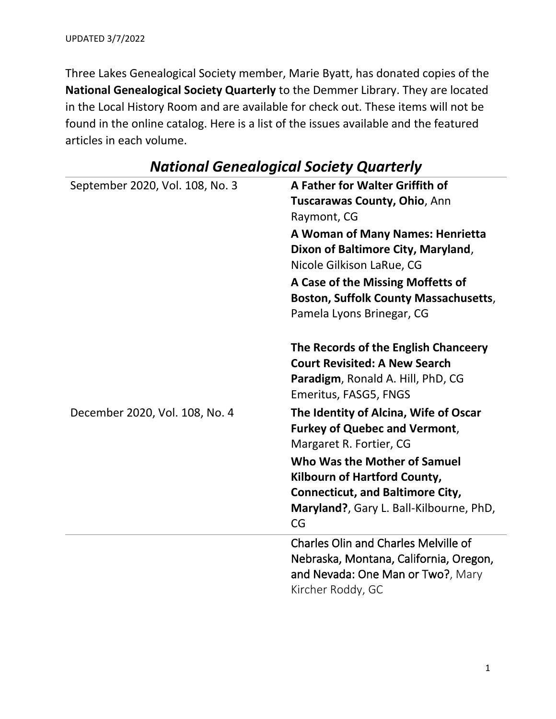Three Lakes Genealogical Society member, Marie Byatt, has donated copies of the **National Genealogical Society Quarterly** to the Demmer Library. They are located in the Local History Room and are available for check out. These items will not be found in the online catalog. Here is a list of the issues available and the featured articles in each volume.

| September 2020, Vol. 108, No. 3 | A Father for Walter Griffith of<br>Tuscarawas County, Ohio, Ann<br>Raymont, CG<br>A Woman of Many Names: Henrietta<br>Dixon of Baltimore City, Maryland,<br>Nicole Gilkison LaRue, CG<br>A Case of the Missing Moffetts of<br><b>Boston, Suffolk County Massachusetts,</b><br>Pamela Lyons Brinegar, CG |
|---------------------------------|---------------------------------------------------------------------------------------------------------------------------------------------------------------------------------------------------------------------------------------------------------------------------------------------------------|
|                                 | The Records of the English Chanceery<br><b>Court Revisited: A New Search</b><br>Paradigm, Ronald A. Hill, PhD, CG<br>Emeritus, FASG5, FNGS                                                                                                                                                              |
| December 2020, Vol. 108, No. 4  | The Identity of Alcina, Wife of Oscar<br><b>Furkey of Quebec and Vermont,</b><br>Margaret R. Fortier, CG<br>Who Was the Mother of Samuel<br><b>Kilbourn of Hartford County,</b><br><b>Connecticut, and Baltimore City,</b><br>Maryland?, Gary L. Ball-Kilbourne, PhD,<br>CG                             |
|                                 | <b>Charles Olin and Charles Melville of</b><br>Nebraska, Montana, California, Oregon,<br>and Nevada: One Man or Two?, Mary<br>Kircher Roddy, GC                                                                                                                                                         |

## *National Genealogical Society Quarterly*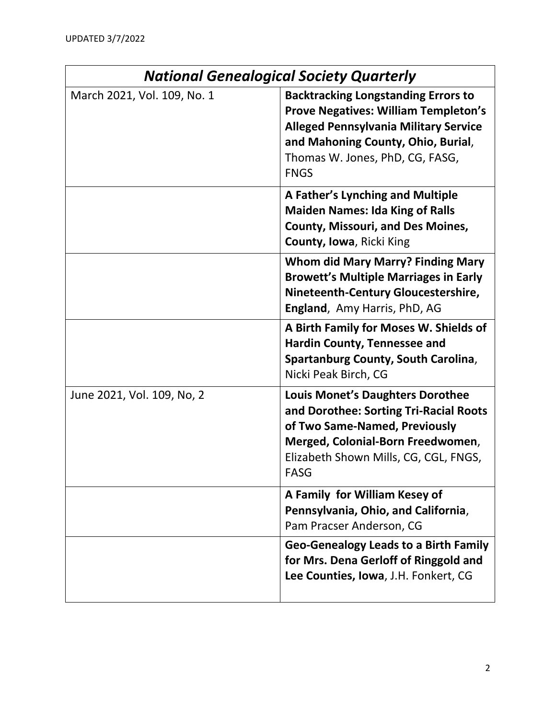| <b>National Genealogical Society Quarterly</b> |                                                                                                                                                                                                                                   |
|------------------------------------------------|-----------------------------------------------------------------------------------------------------------------------------------------------------------------------------------------------------------------------------------|
| March 2021, Vol. 109, No. 1                    | <b>Backtracking Longstanding Errors to</b><br><b>Prove Negatives: William Templeton's</b><br><b>Alleged Pennsylvania Military Service</b><br>and Mahoning County, Ohio, Burial,<br>Thomas W. Jones, PhD, CG, FASG,<br><b>FNGS</b> |
|                                                | A Father's Lynching and Multiple<br><b>Maiden Names: Ida King of Ralls</b><br><b>County, Missouri, and Des Moines,</b><br>County, Iowa, Ricki King                                                                                |
|                                                | <b>Whom did Mary Marry? Finding Mary</b><br><b>Browett's Multiple Marriages in Early</b><br>Nineteenth-Century Gloucestershire,<br>England, Amy Harris, PhD, AG                                                                   |
|                                                | A Birth Family for Moses W. Shields of<br><b>Hardin County, Tennessee and</b><br>Spartanburg County, South Carolina,<br>Nicki Peak Birch, CG                                                                                      |
| June 2021, Vol. 109, No, 2                     | <b>Louis Monet's Daughters Dorothee</b><br>and Dorothee: Sorting Tri-Racial Roots<br>of Two Same-Named, Previously<br>Merged, Colonial-Born Freedwomen,<br>Elizabeth Shown Mills, CG, CGL, FNGS,<br><b>FASG</b>                   |
|                                                | A Family for William Kesey of<br>Pennsylvania, Ohio, and California,<br>Pam Pracser Anderson, CG                                                                                                                                  |
|                                                | <b>Geo-Genealogy Leads to a Birth Family</b><br>for Mrs. Dena Gerloff of Ringgold and<br>Lee Counties, Iowa, J.H. Fonkert, CG                                                                                                     |